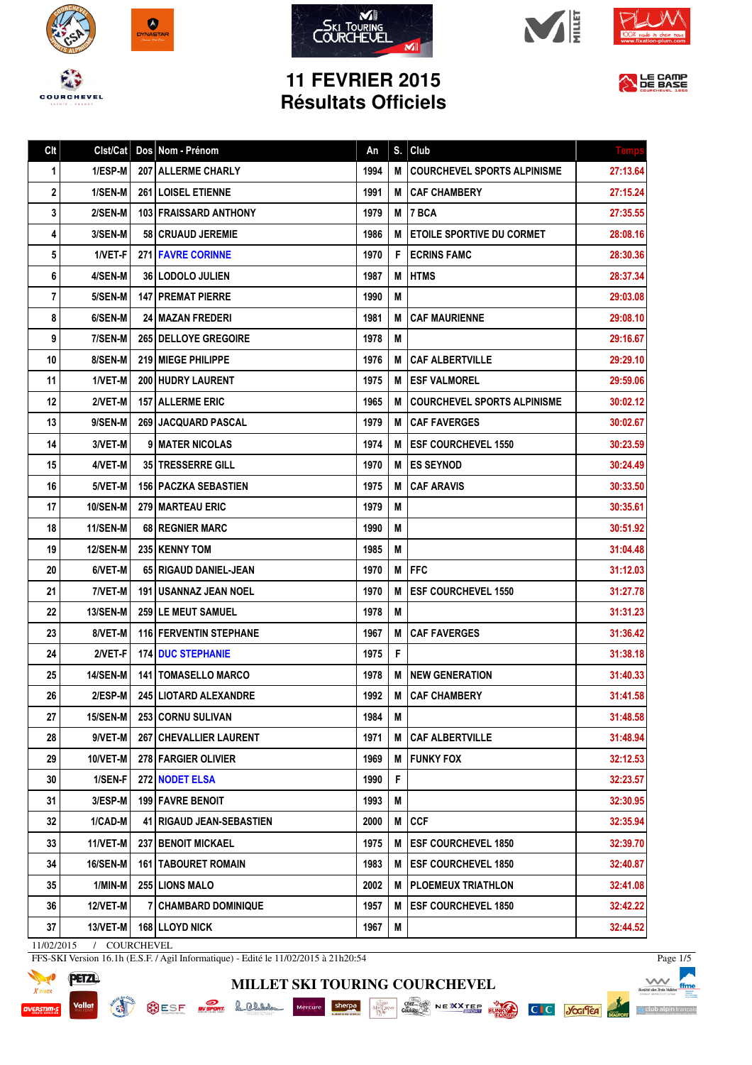









## **11 FEVRIER 2015 Résultats Officiels**



| Clt | Clst/Cat        | Dos Nom - Prénom              | An   | S. | Club                               | Temp     |
|-----|-----------------|-------------------------------|------|----|------------------------------------|----------|
| 1   | 1/ESP-M         | 207 ALLERME CHARLY            | 1994 | М  | <b>COURCHEVEL SPORTS ALPINISME</b> | 27:13.64 |
| 2   | 1/SEN-M         | 261 LOISEL ETIENNE            | 1991 | М  | <b>CAF CHAMBERY</b>                | 27:15.24 |
| 3   | 2/SEN-M         | <b>103 FRAISSARD ANTHONY</b>  | 1979 | M  | 7 BCA                              | 27:35.55 |
| 4   | 3/SEN-M         | <b>58   CRUAUD JEREMIE</b>    | 1986 | М  | <b>ETOILE SPORTIVE DU CORMET</b>   | 28:08.16 |
| 5   | 1/VET-F         | <b>271 FAVRE CORINNE</b>      | 1970 | F. | <b>ECRINS FAMC</b>                 | 28:30.36 |
| 6   | 4/SEN-M         | <b>36 LODOLO JULIEN</b>       | 1987 | М  | <b>HTMS</b>                        | 28:37.34 |
| 7   | 5/SEN-M         | <b>147   PREMAT PIERRE</b>    | 1990 | М  |                                    | 29:03.08 |
| 8   | 6/SEN-M         | <b>24 I MAZAN FREDERI</b>     | 1981 | М  | <b>CAF MAURIENNE</b>               | 29:08.10 |
| 9   | 7/SEN-M         | <b>265 I DELLOYE GREGOIRE</b> | 1978 | М  |                                    | 29:16.67 |
| 10  | 8/SEN-M         | 219 MIEGE PHILIPPE            | 1976 | М  | <b>CAF ALBERTVILLE</b>             | 29:29.10 |
| 11  | 1/VET-M         | <b>200 HUDRY LAURENT</b>      | 1975 | М  | <b>ESF VALMOREL</b>                | 29:59.06 |
| 12  | 2/VET-M         | <b>157   ALLERME ERIC</b>     | 1965 | М  | <b>COURCHEVEL SPORTS ALPINISME</b> | 30:02.12 |
| 13  | 9/SEN-M         | <b>269 JACQUARD PASCAL</b>    | 1979 | М  | <b>CAF FAVERGES</b>                | 30:02.67 |
| 14  | 3/VET-M         | <b>9 I MATER NICOLAS</b>      | 1974 | М  | <b>IESF COURCHEVEL 1550</b>        | 30:23.59 |
| 15  | 4/VET-M         | 35 TRESSERRE GILL             | 1970 | М  | <b>ES SEYNOD</b>                   | 30:24.49 |
| 16  | 5/VET-M         | <b>156   PACZKA SEBASTIEN</b> | 1975 | М  | <b>CAF ARAVIS</b>                  | 30:33.50 |
| 17  | <b>10/SEN-M</b> | <b>279 MARTEAU ERIC</b>       | 1979 | M  |                                    | 30:35.61 |
| 18  | <b>11/SEN-M</b> | 68   REGNIER MARC             | 1990 | М  |                                    | 30:51.92 |
| 19  | <b>12/SEN-M</b> | 235 KENNY TOM                 | 1985 | М  |                                    | 31:04.48 |
| 20  | 6/VET-M         | 65   RIGAUD DANIEL-JEAN       | 1970 | М  | l FFC                              | 31:12.03 |
| 21  | 7/VET-M         | 191 I USANNAZ JEAN NOEL       | 1970 | М  | <b>ESF COURCHEVEL 1550</b>         | 31:27.78 |
| 22  | 13/SEN-M        | <b>259 ILE MEUT SAMUEL</b>    | 1978 | M  |                                    | 31:31.23 |
| 23  | 8/VET-M         | 116 FERVENTIN STEPHANE        | 1967 | М  | <b>CAF FAVERGES</b>                | 31:36.42 |
| 24  | 2/VET-F         | <b>174 DUC STEPHANIE</b>      | 1975 | F  |                                    | 31:38.18 |
| 25  | 14/SEN-M        | <b>141   TOMASELLO MARCO</b>  | 1978 | М  | <b>NEW GENERATION</b>              | 31:40.33 |
| 26  | $2/ESP-M$       | <b>245 LIOTARD ALEXANDRE</b>  | 1992 |    | M CAF CHAMBERY                     | 31:41.58 |
| 27  | <b>15/SEN-M</b> | 253 CORNU SULIVAN             | 1984 | M  |                                    | 31:48.58 |
| 28  | 9/VET-M         | <b>267 CHEVALLIER LAURENT</b> | 1971 | M  | <b>CAF ALBERTVILLE</b>             | 31:48.94 |
| 29  | 10/VET-M        | 278 FARGIER OLIVIER           | 1969 | М  | <b>FUNKY FOX</b>                   | 32:12.53 |
| 30  | 1/SEN-F         | 272 NODET ELSA                | 1990 | F  |                                    | 32:23.57 |
| 31  | 3/ESP-M         | 199 FAVRE BENOIT              | 1993 | M  |                                    | 32:30.95 |
| 32  | 1/CAD-M         | 41   RIGAUD JEAN-SEBASTIEN    | 2000 | M  | <b>CCF</b>                         | 32:35.94 |
| 33  | 11/VET-M        | <b>237 BENOIT MICKAEL</b>     | 1975 | M  | <b>ESF COURCHEVEL 1850</b>         | 32:39.70 |
| 34  | 16/SEN-M        | <b>161   TABOURET ROMAIN</b>  | 1983 | M  | <b>IESF COURCHEVEL 1850</b>        | 32:40.87 |
| 35  | 1/MIN-M         | 255 LIONS MALO                | 2002 | М  | PLOEMEUX TRIATHLON                 | 32:41.08 |
| 36  | 12/VET-M        | 7 CHAMBARD DOMINIQUE          | 1957 | М  | <b>ESF COURCHEVEL 1850</b>         | 32:42.22 |
| 37  | 13/VET-M        | <b>168 LLOYD NICK</b>         | 1967 | M  |                                    | 32:44.52 |
|     |                 |                               |      |    |                                    |          |

**MILLET SKI TOURING COURCHEVEL**

11/02/2015 / COURCHEVEL

**READY** 

FFS-SKI Version 16.1h (E.S.F. / Agil Informatique) - Edité le 11/02/2015 à 21h20:54



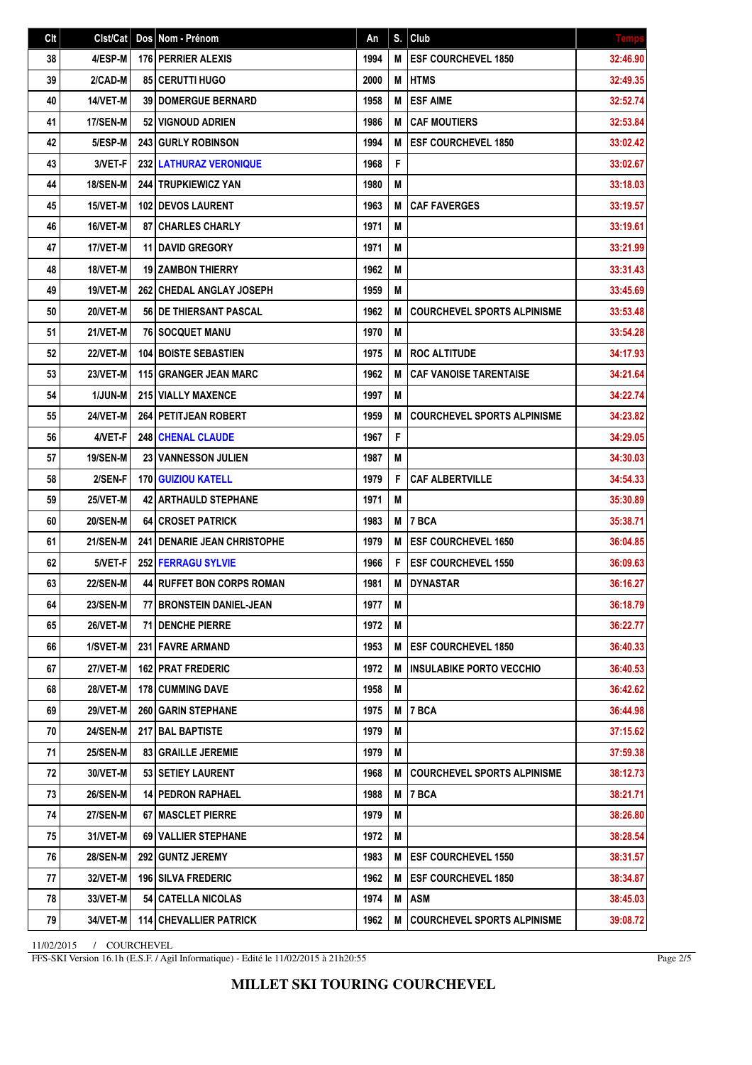| Clt | Clst/Cat        | Dos Nom - Prénom                     | An   | S. | Club                               | <b>Temps</b> |
|-----|-----------------|--------------------------------------|------|----|------------------------------------|--------------|
| 38  | 4/ESP-M         | <b>176 PERRIER ALEXIS</b>            | 1994 | M  | <b>ESF COURCHEVEL 1850</b>         | 32:46.90     |
| 39  | 2/CAD-M         | <b>85   CERUTTI HUGO</b>             | 2000 | М  | <b>HTMS</b>                        | 32:49.35     |
| 40  | 14/VET-M        | <b>39 DOMERGUE BERNARD</b>           | 1958 | M  | <b>ESF AIME</b>                    | 32:52.74     |
| 41  | 17/SEN-M        | 52 VIGNOUD ADRIEN                    | 1986 | M  | <b>CAF MOUTIERS</b>                | 32:53.84     |
| 42  | 5/ESP-M         | 243 GURLY ROBINSON                   | 1994 | M  | <b>ESF COURCHEVEL 1850</b>         | 33:02.42     |
| 43  | 3/VET-F         | <b>232 LATHURAZ VERONIQUE</b>        | 1968 | F  |                                    | 33:02.67     |
| 44  | <b>18/SEN-M</b> | <b>244 TRUPKIEWICZ YAN</b>           | 1980 | M  |                                    | 33:18.03     |
| 45  | <b>15/VET-M</b> | <b>102   DEVOS LAURENT</b>           | 1963 | M  | <b>CAF FAVERGES</b>                | 33:19.57     |
| 46  | 16/VET-M        | <b>87   CHARLES CHARLY</b>           | 1971 | M  |                                    | 33:19.61     |
| 47  | 17/VET-M        | <b>11 DAVID GREGORY</b>              | 1971 | M  |                                    | 33:21.99     |
| 48  | 18/VET-M        | <b>19 ZAMBON THIERRY</b>             | 1962 | M  |                                    | 33:31.43     |
| 49  | 19/VET-M        | <b>262   CHEDAL ANGLAY JOSEPH</b>    | 1959 | M  |                                    | 33:45.69     |
| 50  | 20/VET-M        | 56 DE THIERSANT PASCAL               | 1962 | M  | <b>COURCHEVEL SPORTS ALPINISME</b> | 33:53.48     |
| 51  | 21/VET-M        | <b>76 SOCQUET MANU</b>               | 1970 | M  |                                    | 33:54.28     |
| 52  | 22/VET-M        | <b>104 BOISTE SEBASTIEN</b>          | 1975 | M  | <b>ROC ALTITUDE</b>                | 34:17.93     |
| 53  | 23/VET-M        | 115 GRANGER JEAN MARC                | 1962 | M  | <b>CAF VANOISE TARENTAISE</b>      | 34:21.64     |
| 54  | 1/JUN-M         | 215 VIALLY MAXENCE                   | 1997 | Μ  |                                    | 34:22.74     |
| 55  | 24/VET-M        | 264 PETITJEAN ROBERT                 | 1959 | M  | <b>COURCHEVEL SPORTS ALPINISME</b> | 34:23.82     |
| 56  | 4/VET-F         | <b>248 CHENAL CLAUDE</b>             | 1967 | F  |                                    | 34:29.05     |
| 57  | <b>19/SEN-M</b> | <b>23 VANNESSON JULIEN</b>           | 1987 | M  |                                    | 34:30.03     |
| 58  | 2/SEN-F         | <b>170 GUIZIOU KATELL</b>            | 1979 | F  | <b>CAF ALBERTVILLE</b>             | 34:54.33     |
| 59  | 25/VET-M        | <b>42 ARTHAULD STEPHANE</b>          | 1971 | M  |                                    | 35:30.89     |
| 60  | <b>20/SEN-M</b> | <b>64 CROSET PATRICK</b>             | 1983 | M  | 7 BCA                              | 35:38.71     |
| 61  | <b>21/SEN-M</b> | <b>241 I DENARIE JEAN CHRISTOPHE</b> | 1979 | M  | <b>ESF COURCHEVEL 1650</b>         | 36:04.85     |
| 62  | 5/VET-F         | <b>252 FERRAGU SYLVIE</b>            | 1966 | F  | <b>ESF COURCHEVEL 1550</b>         | 36:09.63     |
| 63  | <b>22/SEN-M</b> | <b>44 RUFFET BON CORPS ROMAN</b>     | 1981 | M  | <b>DYNASTAR</b>                    | 36:16.27     |
| 64  | 23/SEN-M        | 77 BRONSTEIN DANIEL-JEAN             | 1977 | Μ  |                                    | 36:18.79     |
| 65  | <b>26/VET-M</b> | <b>71 I DENCHE PIERRE</b>            | 1972 | M  |                                    | 36:22.77     |
| 66  | 1/SVET-M        | 231 FAVRE ARMAND                     | 1953 | M  | <b>ESF COURCHEVEL 1850</b>         | 36:40.33     |
| 67  | 27/VET-M        | <b>162 PRAT FREDERIC</b>             | 1972 | M  | <b>INSULABIKE PORTO VECCHIO</b>    | 36:40.53     |
| 68  | <b>28/VET-M</b> | <b>178 CUMMING DAVE</b>              | 1958 | M  |                                    | 36:42.62     |
| 69  | <b>29/VET-M</b> | <b>260   GARIN STEPHANE</b>          | 1975 | Μ  | <b>7 BCA</b>                       | 36:44.98     |
| 70  | 24/SEN-M        | 217 BAL BAPTISTE                     | 1979 | M  |                                    | 37:15.62     |
| 71  | <b>25/SEN-M</b> | <b>83 GRAILLE JEREMIE</b>            | 1979 | Μ  |                                    | 37:59.38     |
| 72  | 30/VET-M        | 53 SETIEY LAURENT                    | 1968 | M  | <b>COURCHEVEL SPORTS ALPINISME</b> | 38:12.73     |
| 73  | <b>26/SEN-M</b> | <b>14 PEDRON RAPHAEL</b>             | 1988 | M  | <b>7 BCA</b>                       | 38:21.71     |
| 74  | 27/SEN-M        | <b>67 MASCLET PIERRE</b>             | 1979 | M  |                                    | 38:26.80     |
| 75  | 31/VET-M        | <b>69 I VALLIER STEPHANE</b>         | 1972 | M  |                                    | 38:28.54     |
| 76  | <b>28/SEN-M</b> | 292 GUNTZ JEREMY                     | 1983 | M  | <b>ESF COURCHEVEL 1550</b>         | 38:31.57     |
| 77  | 32/VET-M        | <b>196 SILVA FREDERIC</b>            | 1962 | M  | <b>ESF COURCHEVEL 1850</b>         | 38:34.87     |
| 78  | 33/VET-M        | 54   CATELLA NICOLAS                 | 1974 | M  | <b>ASM</b>                         | 38:45.03     |
| 79  | 34/VET-M        | 114 CHEVALLIER PATRICK               | 1962 | M  | <b>COURCHEVEL SPORTS ALPINISME</b> | 39:08.72     |

11/02/2015 / COURCHEVEL

FFS-SKI Version 16.1h (E.S.F. / Agil Informatique) - Edité le 11/02/2015 à 21h20:55

Page 2/5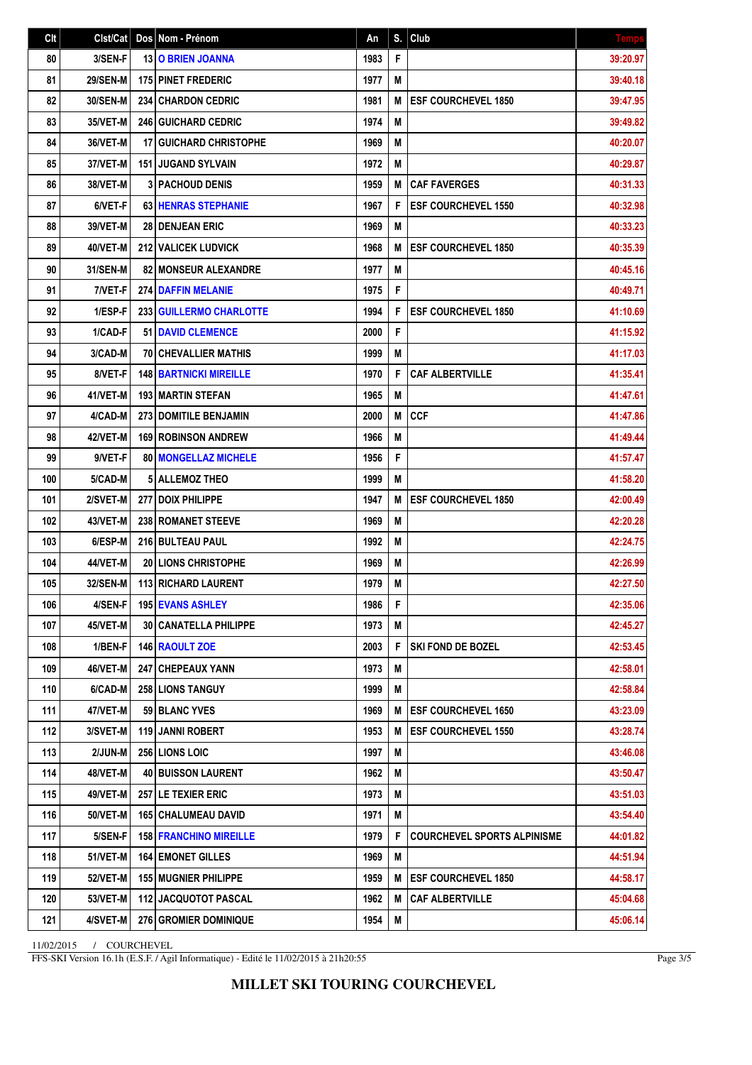| Clt | Clst/Cat        | Dos Nom - Prénom               | An   | S. | Club                               | <b>Temps</b> |
|-----|-----------------|--------------------------------|------|----|------------------------------------|--------------|
| 80  | 3/SEN-F         | 13 O BRIEN JOANNA              | 1983 | F  |                                    | 39:20.97     |
| 81  | <b>29/SEN-M</b> | <b>175 PINET FREDERIC</b>      | 1977 | M  |                                    | 39:40.18     |
| 82  | 30/SEN-M        | 234 CHARDON CEDRIC             | 1981 | M  | <b>ESF COURCHEVEL 1850</b>         | 39:47.95     |
| 83  | 35/VET-M        | 246 GUICHARD CEDRIC            | 1974 | M  |                                    | 39:49.82     |
| 84  | 36/VET-M        | <b>17 GUICHARD CHRISTOPHE</b>  | 1969 | M  |                                    | 40:20.07     |
| 85  | 37/VET-M        | <b>151 JUGAND SYLVAIN</b>      | 1972 | Μ  |                                    | 40:29.87     |
| 86  | 38/VET-M        | <b>3 PACHOUD DENIS</b>         | 1959 | M  | <b>CAF FAVERGES</b>                | 40:31.33     |
| 87  | 6/VET-F         | <b>63 HENRAS STEPHANIE</b>     | 1967 | F  | <b>ESF COURCHEVEL 1550</b>         | 40:32.98     |
| 88  | 39/VET-M        | <b>28   DENJEAN ERIC</b>       | 1969 | M  |                                    | 40:33.23     |
| 89  | 40/VET-M        | <b>212 I VALICEK LUDVICK</b>   | 1968 | M  | <b>ESF COURCHEVEL 1850</b>         | 40:35.39     |
| 90  | <b>31/SEN-M</b> | 82 MONSEUR ALEXANDRE           | 1977 | M  |                                    | 40:45.16     |
| 91  | 7/VET-F         | <b>274 DAFFIN MELANIE</b>      | 1975 | F  |                                    | 40:49.71     |
| 92  | 1/ESP-F         | 233   GUILLERMO CHARLOTTE      | 1994 | F  | <b>ESF COURCHEVEL 1850</b>         | 41:10.69     |
| 93  | 1/CAD-F         | 51 DAVID CLEMENCE              | 2000 | F  |                                    | 41:15.92     |
| 94  | 3/CAD-M         | <b>70 CHEVALLIER MATHIS</b>    | 1999 | M  |                                    | 41:17.03     |
| 95  | 8/VET-F         | <b>148 BARTNICKI MIREILLE</b>  | 1970 | F  | <b>CAF ALBERTVILLE</b>             | 41:35.41     |
| 96  | 41/VET-M        | 193 MARTIN STEFAN              | 1965 | M  |                                    | 41:47.61     |
| 97  | 4/CAD-M         | 273 DOMITILE BENJAMIN          | 2000 | M  | <b>CCF</b>                         | 41:47.86     |
| 98  | 42/VET-M        | <b>169 ROBINSON ANDREW</b>     | 1966 | M  |                                    | 41:49.44     |
| 99  | 9/VET-F         | <b>80   MONGELLAZ MICHELE</b>  | 1956 | F  |                                    | 41:57.47     |
| 100 | 5/CAD-M         | 5 ALLEMOZ THEO                 | 1999 | M  |                                    | 41:58.20     |
| 101 | 2/SVET-M        | 277   DOIX PHILIPPE            | 1947 | M  | <b>ESF COURCHEVEL 1850</b>         | 42:00.49     |
| 102 | 43/VET-M        | <b>238 ROMANET STEEVE</b>      | 1969 | M  |                                    | 42:20.28     |
| 103 | 6/ESP-M         | 216 BULTEAU PAUL               | 1992 | M  |                                    | 42:24.75     |
| 104 | 44/VET-M        | <b>20 LIONS CHRISTOPHE</b>     | 1969 | M  |                                    | 42:26.99     |
| 105 | 32/SEN-M        | 113 RICHARD LAURENT            | 1979 | M  |                                    | 42:27.50     |
| 106 | 4/SEN-F         | <b>195 EVANS ASHLEY</b>        | 1986 | F  |                                    | 42:35.06     |
| 107 | <b>45/VET-M</b> | <b>30   CANATELLA PHILIPPE</b> | 1973 | M  |                                    | 42:45.27     |
| 108 | 1/BEN-F         | 146 RAOULT ZOE                 | 2003 | F  | <b>SKI FOND DE BOZEL</b>           | 42:53.45     |
| 109 | 46/VET-M        | <b>247   CHEPEAUX YANN</b>     | 1973 | Μ  |                                    | 42:58.01     |
| 110 | 6/CAD-M         | 258 LIONS TANGUY               | 1999 | M  |                                    | 42:58.84     |
| 111 | 47/VET-M        | 59 BLANC YVES                  | 1969 | Μ  | <b>ESF COURCHEVEL 1650</b>         | 43:23.09     |
| 112 | <b>3/SVET-M</b> | 119 JANNI ROBERT               | 1953 | M  | <b>ESF COURCHEVEL 1550</b>         | 43:28.74     |
| 113 | 2/JUN-M         | 256 LIONS LOIC                 | 1997 | M  |                                    | 43:46.08     |
| 114 | 48/VET-M        | 40 BUISSON LAURENT             | 1962 | M  |                                    | 43:50.47     |
| 115 | 49/VET-M        | <b>257 LE TEXIER ERIC</b>      | 1973 | Μ  |                                    | 43:51.03     |
| 116 | <b>50/VET-M</b> | <b>165   CHALUMEAU DAVID</b>   | 1971 | M  |                                    | 43:54.40     |
| 117 | 5/SEN-F         | <b>158 FRANCHINO MIREILLE</b>  | 1979 | F  | <b>COURCHEVEL SPORTS ALPINISME</b> | 44:01.82     |
| 118 | 51/VET-M        | <b>164 EMONET GILLES</b>       | 1969 | M  |                                    | 44:51.94     |
| 119 | <b>52/VET-M</b> | <b>155 MUGNIER PHILIPPE</b>    | 1959 | M  | <b>ESF COURCHEVEL 1850</b>         | 44:58.17     |
| 120 | <b>53/VET-M</b> | <b>112 JACQUOTOT PASCAL</b>    | 1962 | M  | <b>CAF ALBERTVILLE</b>             | 45:04.68     |
| 121 | 4/SVET-M        | 276 GROMIER DOMINIQUE          | 1954 | M  |                                    | 45:06.14     |

11/02/2015 / COURCHEVEL

FFS-SKI Version 16.1h (E.S.F. / Agil Informatique) - Edité le 11/02/2015 à 21h20:55

Page 3/5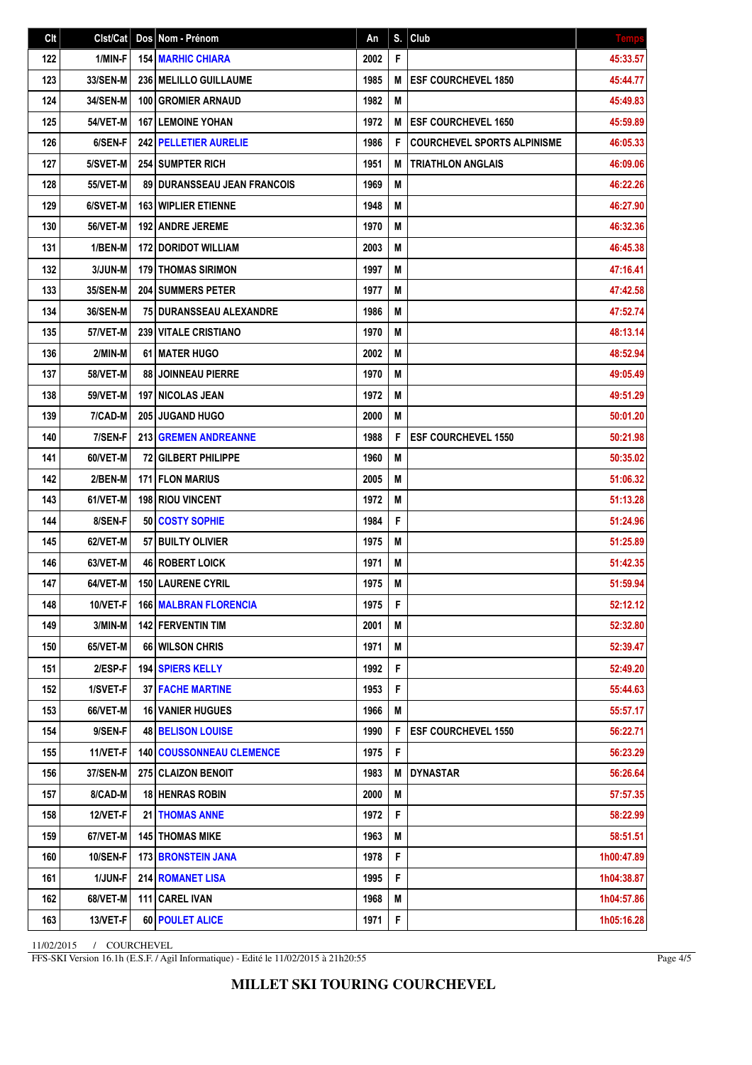| Clt | Clst/Cat        | Dos Nom - Prénom                     | An   | S. | Club                               | <b>Temps</b> |
|-----|-----------------|--------------------------------------|------|----|------------------------------------|--------------|
| 122 | 1/MIN-F         | <b>154 MARHIC CHIARA</b>             | 2002 | F  |                                    | 45:33.57     |
| 123 | 33/SEN-M        | 236   MELILLO GUILLAUME              | 1985 | M  | <b>ESF COURCHEVEL 1850</b>         | 45:44.77     |
| 124 | 34/SEN-M        | 100 GROMIER ARNAUD                   | 1982 | M  |                                    | 45:49.83     |
| 125 | <b>54/VET-M</b> | <b>167 LEMOINE YOHAN</b>             | 1972 | M  | <b>ESF COURCHEVEL 1650</b>         | 45:59.89     |
| 126 | 6/SEN-F         | 242 PELLETIER AURELIE                | 1986 | F  | <b>COURCHEVEL SPORTS ALPINISME</b> | 46:05.33     |
| 127 | 5/SVET-M        | <b>254 I SUMPTER RICH</b>            | 1951 | M  | <b>TRIATHLON ANGLAIS</b>           | 46:09.06     |
| 128 | <b>55/VET-M</b> | <b>89 I DURANSSEAU JEAN FRANCOIS</b> | 1969 | M  |                                    | 46:22.26     |
| 129 | 6/SVET-M        | <b>163 WIPLIER ETIENNE</b>           | 1948 | M  |                                    | 46:27.90     |
| 130 | 56/VET-M        | <b>192   ANDRE JEREME</b>            | 1970 | M  |                                    | 46:32.36     |
| 131 | 1/BEN-M         | <b>172 DORIDOT WILLIAM</b>           | 2003 | M  |                                    | 46:45.38     |
| 132 | 3/JUN-M         | <b>179 THOMAS SIRIMON</b>            | 1997 | M  |                                    | 47:16.41     |
| 133 | 35/SEN-M        | <b>204 SUMMERS PETER</b>             | 1977 | M  |                                    | 47:42.58     |
| 134 | 36/SEN-M        | 75 DURANSSEAU ALEXANDRE              | 1986 | M  |                                    | 47:52.74     |
| 135 | 57/VET-M        | <b>239 VITALE CRISTIANO</b>          | 1970 | M  |                                    | 48:13.14     |
| 136 | 2/MIN-M         | 61 MATER HUGO                        | 2002 | M  |                                    | 48:52.94     |
| 137 | <b>58/VET-M</b> | 88 JOINNEAU PIERRE                   | 1970 | M  |                                    | 49:05.49     |
| 138 | <b>59/VET-M</b> | <b>197 INICOLAS JEAN</b>             | 1972 | M  |                                    | 49:51.29     |
| 139 | 7/CAD-M         | <b>205 JUGAND HUGO</b>               | 2000 | M  |                                    | 50:01.20     |
| 140 | 7/SEN-F         | 213 GREMEN ANDREANNE                 | 1988 | F  | <b>ESF COURCHEVEL 1550</b>         | 50:21.98     |
| 141 | 60/VET-M        | 72 GILBERT PHILIPPE                  | 1960 | M  |                                    | 50:35.02     |
| 142 | 2/BEN-M         | <b>171 FLON MARIUS</b>               | 2005 | M  |                                    | 51:06.32     |
| 143 | 61/VET-M        | 198 RIOU VINCENT                     | 1972 | M  |                                    | 51:13.28     |
| 144 | 8/SEN-F         | 50 COSTY SOPHIE                      | 1984 | F  |                                    | 51:24.96     |
| 145 | 62/VET-M        | 57 BUILTY OLIVIER                    | 1975 | M  |                                    | 51:25.89     |
| 146 | 63/VET-M        | <b>46 ROBERT LOICK</b>               | 1971 | M  |                                    | 51:42.35     |
| 147 | 64/VET-M        | 150 LAURENE CYRIL                    | 1975 | M  |                                    | 51:59.94     |
| 148 | 10/VET-F        | <b>166 MALBRAN FLORENCIA</b>         | 1975 | F  |                                    | 52:12.12     |
| 149 | 3/MIN-M         | <b>142 FERVENTIN TIM</b>             | 2001 | Μ  |                                    | 52:32.80     |
| 150 | 65/VET-M        | 66 WILSON CHRIS                      | 1971 | M  |                                    | 52:39.47     |
| 151 | 2/ESP-F         | <b>194 SPIERS KELLY</b>              | 1992 | F  |                                    | 52:49.20     |
| 152 | 1/SVET-F        | <b>37 FACHE MARTINE</b>              | 1953 | F  |                                    | 55:44.63     |
| 153 | 66/VET-M        | <b>16 VANIER HUGUES</b>              | 1966 | M  |                                    | 55:57.17     |
| 154 | 9/SEN-F         | <b>48 BELISON LOUISE</b>             | 1990 | F  | <b>ESF COURCHEVEL 1550</b>         | 56:22.71     |
| 155 | 11/VET-F        | <b>140 COUSSONNEAU CLEMENCE</b>      | 1975 | F  |                                    | 56:23.29     |
| 156 | 37/SEN-M        | 275 CLAIZON BENOIT                   | 1983 | M  | DYNASTAR                           | 56:26.64     |
| 157 | 8/CAD-M         | <b>18 HENRAS ROBIN</b>               | 2000 | M  |                                    | 57:57.35     |
| 158 | 12/VET-F        | 21 THOMAS ANNE                       | 1972 | F  |                                    | 58:22.99     |
| 159 | 67/VET-M        | <b>145 THOMAS MIKE</b>               | 1963 | M  |                                    | 58:51.51     |
| 160 | <b>10/SEN-F</b> | <b>173 BRONSTEIN JANA</b>            | 1978 | F  |                                    | 1h00:47.89   |
| 161 | 1/JUN-F         | <b>214 ROMANET LISA</b>              | 1995 | F  |                                    | 1h04:38.87   |
| 162 | 68/VET-M        | 111 CAREL IVAN                       | 1968 | Μ  |                                    | 1h04:57.86   |
| 163 | 13/VET-F        | 60 POULET ALICE                      | 1971 | F  |                                    | 1h05:16.28   |

11/02/2015 / COURCHEVEL

FFS-SKI Version 16.1h (E.S.F. / Agil Informatique) - Edité le 11/02/2015 à 21h20:55

Page 4/5